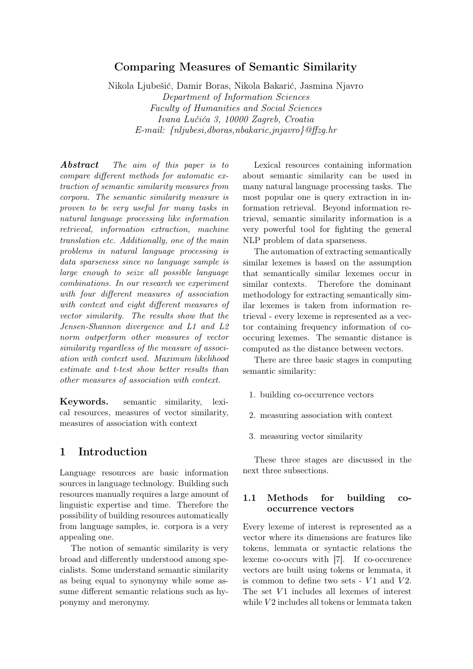## Comparing Measures of Semantic Similarity

Nikola Ljubešić, Damir Boras, Nikola Bakarić, Jasmina Njavro

Department of Information Sciences Faculty of Humanities and Social Sciences Ivana Lučića 3, 10000 Zagreb, Croatia E-mail: {nljubesi,dboras,nbakaric,jnjavro}@ffzg.hr

Abstract The aim of this paper is to compare different methods for automatic extraction of semantic similarity measures from corpora. The semantic similarity measure is proven to be very useful for many tasks in natural language processing like information retrieval, information extraction, machine translation etc. Additionally, one of the main problems in natural language processing is data sparseness since no language sample is large enough to seize all possible language combinations. In our research we experiment with four different measures of association with context and eight different measures of vector similarity. The results show that the Jensen-Shannon divergence and L1 and L2 norm outperform other measures of vector similarity regardless of the measure of association with context used. Maximum likelihood estimate and t-test show better results than other measures of association with context.

Keywords. semantic similarity, lexical resources, measures of vector similarity, measures of association with context

# 1 Introduction

Language resources are basic information sources in language technology. Building such resources manually requires a large amount of linguistic expertise and time. Therefore the possibility of building resources automatically from language samples, ie. corpora is a very appealing one.

The notion of semantic similarity is very broad and differently understood among specialists. Some understand semantic similarity as being equal to synonymy while some assume different semantic relations such as hyponymy and meronymy.

Lexical resources containing information about semantic similarity can be used in many natural language processing tasks. The most popular one is query extraction in information retrieval. Beyond information retrieval, semantic similarity information is a very powerful tool for fighting the general NLP problem of data sparseness.

The automation of extracting semantically similar lexemes is based on the assumption that semantically similar lexemes occur in similar contexts. Therefore the dominant methodology for extracting semantically similar lexemes is taken from information retrieval - every lexeme is represented as a vector containing frequency information of cooccuring lexemes. The semantic distance is computed as the distance between vectors.

There are three basic stages in computing semantic similarity:

- 1. building co-occurrence vectors
- 2. measuring association with context
- 3. measuring vector similarity

These three stages are discussed in the next three subsections.

### 1.1 Methods for building cooccurrence vectors

Every lexeme of interest is represented as a vector where its dimensions are features like tokens, lemmata or syntactic relations the lexeme co-occurs with [7]. If co-occurence vectors are built using tokens or lemmata, it is common to define two sets  $- V1$  and  $V2$ . The set  $V1$  includes all lexemes of interest while  $V2$  includes all tokens or lemmata taken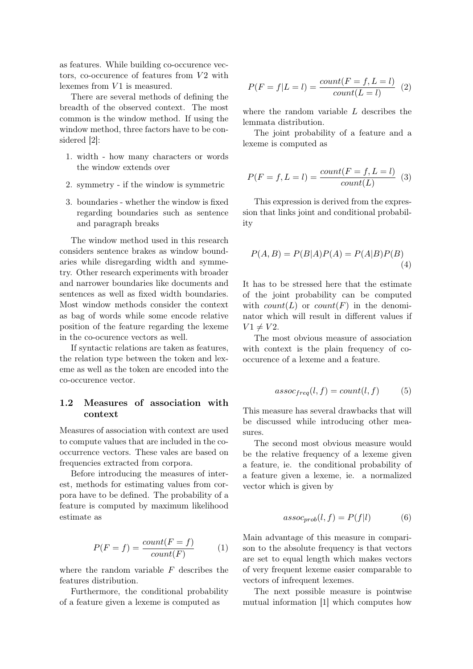as features. While building co-occurence vectors, co-occurence of features from  $V2$  with lexemes from  $V1$  is measured.

There are several methods of defining the breadth of the observed context. The most common is the window method. If using the window method, three factors have to be considered [2]:

- 1. width how many characters or words the window extends over
- 2. symmetry if the window is symmetric
- 3. boundaries whether the window is fixed regarding boundaries such as sentence and paragraph breaks

The window method used in this research considers sentence brakes as window boundaries while disregarding width and symmetry. Other research experiments with broader and narrower boundaries like documents and sentences as well as fixed width boundaries. Most window methods consider the context as bag of words while some encode relative position of the feature regarding the lexeme in the co-ocurence vectors as well.

If syntactic relations are taken as features, the relation type between the token and lexeme as well as the token are encoded into the co-occurence vector.

### 1.2 Measures of association with context

Measures of association with context are used to compute values that are included in the cooccurrence vectors. These vales are based on frequencies extracted from corpora.

Before introducing the measures of interest, methods for estimating values from corpora have to be defined. The probability of a feature is computed by maximum likelihood estimate as

$$
P(F = f) = \frac{count(F = f)}{count(F)}\tag{1}
$$

where the random variable  $F$  describes the features distribution.

Furthermore, the conditional probability of a feature given a lexeme is computed as

$$
P(F = f|L = l) = \frac{count(F = f, L = l)}{count(L = l)} \tag{2}
$$

where the random variable L describes the lemmata distribution.

The joint probability of a feature and a lexeme is computed as

$$
P(F = f, L = l) = \frac{count(F = f, L = l)}{count(L)}
$$
 (3)

This expression is derived from the expression that links joint and conditional probability

$$
P(A,B) = P(B|A)P(A) = P(A|B)P(B)
$$
\n(4)

It has to be stressed here that the estimate of the joint probability can be computed with  $count(L)$  or  $count(F)$  in the denominator which will result in different values if  $V1 \neq V2$ .

The most obvious measure of association with context is the plain frequency of cooccurence of a lexeme and a feature.

$$
assoc_{freq}(l, f) = count(l, f) \tag{5}
$$

This measure has several drawbacks that will be discussed while introducing other measures.

The second most obvious measure would be the relative frequency of a lexeme given a feature, ie. the conditional probability of a feature given a lexeme, ie. a normalized vector which is given by

$$
assoc_{prob}(l, f) = P(f|l)
$$
 (6)

Main advantage of this measure in comparison to the absolute frequency is that vectors are set to equal length which makes vectors of very frequent lexeme easier comparable to vectors of infrequent lexemes.

The next possible measure is pointwise mutual information [1] which computes how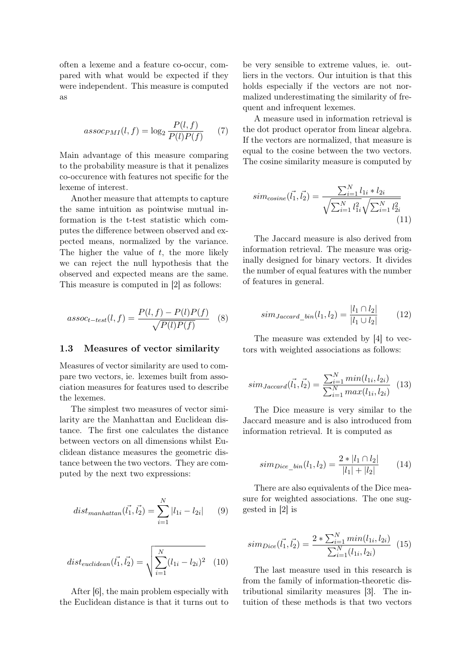often a lexeme and a feature co-occur, compared with what would be expected if they were independent. This measure is computed as

$$
assoc_{PMI}(l, f) = \log_2 \frac{P(l, f)}{P(l)P(f)} \tag{7}
$$

Main advantage of this measure comparing to the probability measure is that it penalizes co-occurence with features not specific for the lexeme of interest.

Another measure that attempts to capture the same intuition as pointwise mutual information is the t-test statistic which computes the difference between observed and expected means, normalized by the variance. The higher the value of  $t$ , the more likely we can reject the null hypothesis that the observed and expected means are the same. This measure is computed in [2] as follows:

$$
assoc_{t-test}(l, f) = \frac{P(l, f) - P(l)P(f)}{\sqrt{P(l)P(f)}} \quad (8)
$$

#### 1.3 Measures of vector similarity

Measures of vector similarity are used to compare two vectors, ie. lexemes built from association measures for features used to describe the lexemes.

The simplest two measures of vector similarity are the Manhattan and Euclidean distance. The first one calculates the distance between vectors on all dimensions whilst Euclidean distance measures the geometric distance between the two vectors. They are computed by the next two expressions:

$$
dist_{manhattan}(\vec{l_1}, \vec{l_2}) = \sum_{i=1}^{N} |l_{1i} - l_{2i}| \qquad (9)
$$

$$
dist_{euclidean}(\vec{l_1}, \vec{l_2}) = \sqrt{\sum_{i=1}^{N} (l_{1i} - l_{2i})^2}
$$
 (10)

After [6], the main problem especially with the Euclidean distance is that it turns out to

be very sensible to extreme values, ie. outliers in the vectors. Our intuition is that this holds especially if the vectors are not normalized underestimating the similarity of frequent and infrequent lexemes.

A measure used in information retrieval is the dot product operator from linear algebra. If the vectors are normalized, that measure is equal to the cosine between the two vectors. The cosine similarity measure is computed by

$$
sim_{cosine}(\vec{l_1}, \vec{l_2}) = \frac{\sum_{i=1}^{N} l_{1i} * l_{2i}}{\sqrt{\sum_{i=1}^{N} l_{1i}^2} \sqrt{\sum_{i=1}^{N} l_{2i}^2}}
$$
\n(11)

The Jaccard measure is also derived from information retrieval. The measure was originally designed for binary vectors. It divides the number of equal features with the number of features in general.

$$
sim_{Jaccard\_bin}(l_1, l_2) = \frac{|l_1 \cap l_2|}{|l_1 \cup l_2|} \tag{12}
$$

The measure was extended by [4] to vectors with weighted associations as follows:

$$
sim_{Jaccard}(\vec{l_1}, \vec{l_2}) = \frac{\sum_{i=1}^{N} min(l_{1i}, l_{2i})}{\sum_{i=1}^{N} max(l_{1i}, l_{2i})}
$$
 (13)

The Dice measure is very similar to the Jaccard measure and is also introduced from information retrieval. It is computed as

$$
sim_{Dice\_bin}(l_1, l_2) = \frac{2 * |l_1 \cap l_2|}{|l_1| + |l_2|} \tag{14}
$$

There are also equivalents of the Dice measure for weighted associations. The one suggested in [2] is

$$
sim_{Dice}(\vec{l_1}, \vec{l_2}) = \frac{2 * \sum_{i=1}^{N} min(l_{1i}, l_{2i})}{\sum_{i=1}^{N} (l_{1i}, l_{2i})}
$$
(15)

The last measure used in this research is from the family of information-theoretic distributional similarity measures [3]. The intuition of these methods is that two vectors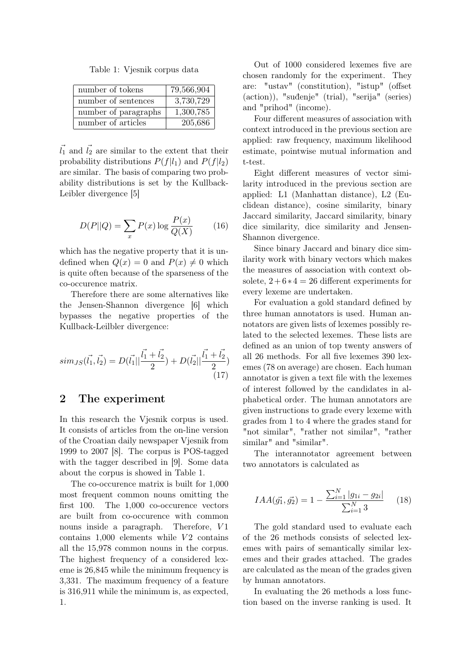Table 1: Vjesnik corpus data

| number of tokens     | 79,566,904 |
|----------------------|------------|
| number of sentences  | 3,730,729  |
| number of paragraphs | 1,300,785  |
| number of articles   | 205,686    |

 $\vec{l}_1$  and  $\vec{l}_2$  are similar to the extent that their probability distributions  $P(f|l_1)$  and  $P(f|l_2)$ are similar. The basis of comparing two probability distributions is set by the Kullback-Leibler divergence [5]

$$
D(P||Q) = \sum_{x} P(x) \log \frac{P(x)}{Q(X)} \qquad (16)
$$

which has the negative property that it is undefined when  $Q(x) = 0$  and  $P(x) \neq 0$  which is quite often because of the sparseness of the co-occurence matrix.

Therefore there are some alternatives like the Jensen-Shannon divergence [6] which bypasses the negative properties of the Kullback-Leilbler divergence:

$$
sim_{JS}(\vec{l_1}, \vec{l_2}) = D(\vec{l_1}||\frac{\vec{l_1} + \vec{l_2}}{2}) + D(\vec{l_2}||\frac{\vec{l_1} + \vec{l_2}}{2})
$$
\n(17)

## 2 The experiment

In this research the Vjesnik corpus is used. It consists of articles from the on-line version of the Croatian daily newspaper Vjesnik from 1999 to 2007 [8]. The corpus is POS-tagged with the tagger described in [9]. Some data about the corpus is showed in Table 1.

The co-occurence matrix is built for 1,000 most frequent common nouns omitting the first 100. The 1,000 co-occurence vectors are built from co-occurence with common nouns inside a paragraph. Therefore,  $V1$ contains  $1,000$  elements while  $V2$  contains all the 15,978 common nouns in the corpus. The highest frequency of a considered lexeme is 26,845 while the minimum frequency is 3,331. The maximum frequency of a feature is 316,911 while the minimum is, as expected, 1.

Out of 1000 considered lexemes five are chosen randomly for the experiment. They are: "ustav" (constitution), "istup" (offset (action)), "suđenje" (trial), "serija" (series) and "prihod" (income).

Four different measures of association with context introduced in the previous section are applied: raw frequency, maximum likelihood estimate, pointwise mutual information and t-test.

Eight different measures of vector similarity introduced in the previous section are applied: L1 (Manhattan distance), L2 (Euclidean distance), cosine similarity, binary Jaccard similarity, Jaccard similarity, binary dice similarity, dice similarity and Jensen-Shannon divergence.

Since binary Jaccard and binary dice similarity work with binary vectors which makes the measures of association with context obsolete,  $2+6*4=26$  different experiments for every lexeme are undertaken.

For evaluation a gold standard defined by three human annotators is used. Human annotators are given lists of lexemes possibly related to the selected lexemes. These lists are defined as an union of top twenty answers of all 26 methods. For all five lexemes 390 lexemes (78 on average) are chosen. Each human annotator is given a text file with the lexemes of interest followed by the candidates in alphabetical order. The human annotators are given instructions to grade every lexeme with grades from 1 to 4 where the grades stand for "not similar", "rather not similar", "rather similar" and "similar".

The interannotator agreement between two annotators is calculated as

$$
IAA(\vec{g_1}, \vec{g_2}) = 1 - \frac{\sum_{i=1}^{N} |g_{1i} - g_{2i}|}{\sum_{i=1}^{N} 3}
$$
 (18)

The gold standard used to evaluate each of the 26 methods consists of selected lexemes with pairs of semantically similar lexemes and their grades attached. The grades are calculated as the mean of the grades given by human annotators.

In evaluating the 26 methods a loss function based on the inverse ranking is used. It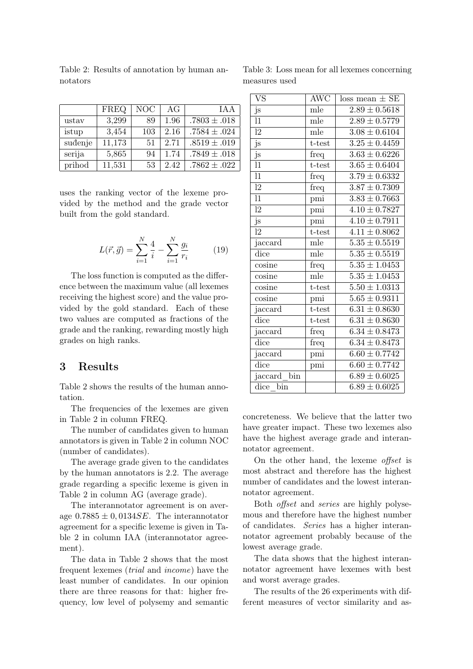|         | <b>FREQ</b> | <b>NOC</b> | AG   | <b>IAA</b>       |
|---------|-------------|------------|------|------------------|
| ustav   | 3,299       | 89         | 1.96 | $.7803 \pm .018$ |
| istup   | 3,454       | 103        | 2.16 | $.7584 \pm .024$ |
| suđenje | 11,173      | 51         | 2.71 | $.8519 \pm .019$ |
| serija  | 5,865       | 94         | 1.74 | $.7849 \pm .018$ |
| prihod  | 11,531      | 53         | 2.42 | $.7862 \pm .022$ |

Table 2: Results of annotation by human annotators

uses the ranking vector of the lexeme provided by the method and the grade vector built from the gold standard.

$$
L(\vec{r}, \vec{g}) = \sum_{i=1}^{N} \frac{4}{i} - \sum_{i=1}^{N} \frac{g_i}{r_i}
$$
 (19)

The loss function is computed as the difference between the maximum value (all lexemes receiving the highest score) and the value provided by the gold standard. Each of these two values are computed as fractions of the grade and the ranking, rewarding mostly high grades on high ranks.

## 3 Results

Table 2 shows the results of the human annotation.

The frequencies of the lexemes are given in Table 2 in column FREQ.

The number of candidates given to human annotators is given in Table 2 in column NOC (number of candidates).

The average grade given to the candidates by the human annotators is 2.2. The average grade regarding a specific lexeme is given in Table 2 in column AG (average grade).

The interannotator agreement is on average  $0.7885 \pm 0.0134 SE$ . The interannotator agreement for a specific lexeme is given in Table 2 in column IAA (interannotator agreement).

The data in Table 2 shows that the most frequent lexemes (trial and income) have the least number of candidates. In our opinion there are three reasons for that: higher frequency, low level of polysemy and semantic

| VS              | <b>AWC</b> | $loss mean \pm SE$ |
|-----------------|------------|--------------------|
| js              | mle        | $2.89 \pm 0.5618$  |
| 11              | mle        | $2.89\pm0.5779$    |
| $12 \,$         | mle        | $3.08\pm0.6104$    |
| js              | t-test     | $3.25 \pm 0.4459$  |
| js              | freq       | $3.63 \pm 0.6226$  |
| 11              | t-test     | $3.65\pm0.6404$    |
| 11              | freq       | $3.79\pm0.6332$    |
| 12              | freq       | $3.87 \pm 0.7309$  |
| $\overline{11}$ | pmi        | $3.83 \pm 0.7663$  |
| $\overline{12}$ | pmi        | $4.10 \pm 0.7827$  |
| js              | pmi        | $4.10 \pm 0.7911$  |
| $\overline{12}$ | t-test     | $4.11\pm0.8062$    |
| jaccard         | mle        | $5.35\pm0.5519$    |
| dice            | mle        | $5.35\pm0.5519$    |
| cosine          | freq       | $5.35\pm1.0453$    |
| cosine          | mle        | $5.35\pm1.0453$    |
| cosine          | t-test     | $5.50\pm1.0313$    |
| cosine          | pmi        | $5.65\pm0.9311$    |
| jaccard         | t-test     | $6.31 \pm 0.8630$  |
| $\mathrm{dice}$ | t-test     | $6.31\pm0.8630$    |
| jaccard         | freq       | $6.34 \pm 0.8473$  |
| dice            | freq       | $6.34 \pm 0.8473$  |
| jaccard         | pmi        | $6.60\pm0.7742$    |
| dice            | pmi        | $6.60 \pm 0.7742$  |
| jaccard bin     |            | $6.89 \pm 0.6025$  |
| dice bin        |            | $6.89 \pm 0.6025$  |

Table 3: Loss mean for all lexemes concerning measures used

concreteness. We believe that the latter two have greater impact. These two lexemes also have the highest average grade and interannotator agreement.

On the other hand, the lexeme offset is most abstract and therefore has the highest number of candidates and the lowest interannotator agreement.

Both offset and series are highly polysemous and therefore have the highest number of candidates. Series has a higher interannotator agreement probably because of the lowest average grade.

The data shows that the highest interannotator agreement have lexemes with best and worst average grades.

The results of the 26 experiments with different measures of vector similarity and as-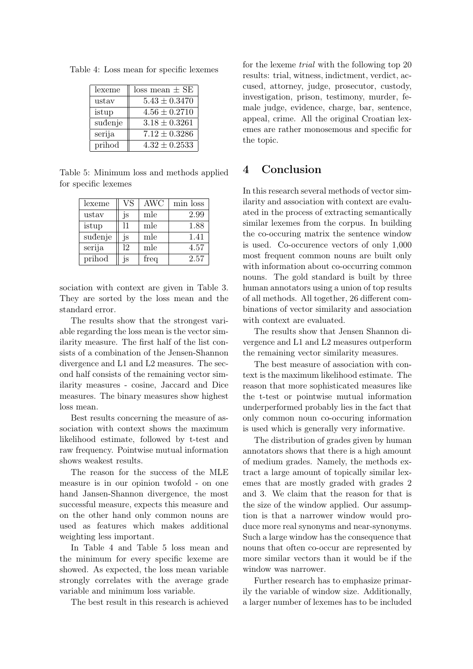| lexeme  | $loss mean \pm SE$ |
|---------|--------------------|
| ustav   | $5.43 \pm 0.3470$  |
| istup   | $4.56 \pm 0.2710$  |
| suđenje | $3.18 \pm 0.3261$  |
| serija  | $7.12 \pm 0.3286$  |
| prihod  | $4.32 \pm 0.2533$  |

Table 4: Loss mean for specific lexemes

Table 5: Minimum loss and methods applied for specific lexemes

| lexeme  | VS | <b>AWC</b> | min loss |
|---------|----|------------|----------|
| ustav   | js | mle        | 2.99     |
| istup   | 11 | mle        | 1.88     |
| suđenje | js | mle        | 1.41     |
| serija  | 12 | mle        | 4.57     |
| prihod  | js | freq       | 2.57     |

sociation with context are given in Table 3. They are sorted by the loss mean and the standard error.

The results show that the strongest variable regarding the loss mean is the vector similarity measure. The first half of the list consists of a combination of the Jensen-Shannon divergence and L1 and L2 measures. The second half consists of the remaining vector similarity measures - cosine, Jaccard and Dice measures. The binary measures show highest loss mean.

Best results concerning the measure of association with context shows the maximum likelihood estimate, followed by t-test and raw frequency. Pointwise mutual information shows weakest results.

The reason for the success of the MLE measure is in our opinion twofold - on one hand Jansen-Shannon divergence, the most successful measure, expects this measure and on the other hand only common nouns are used as features which makes additional weighting less important.

In Table 4 and Table 5 loss mean and the minimum for every specific lexeme are showed. As expected, the loss mean variable strongly correlates with the average grade variable and minimum loss variable.

The best result in this research is achieved

for the lexeme trial with the following top 20 results: trial, witness, indictment, verdict, accused, attorney, judge, prosecutor, custody, investigation, prison, testimony, murder, female judge, evidence, charge, bar, sentence, appeal, crime. All the original Croatian lexemes are rather monosemous and specific for the topic.

# 4 Conclusion

In this research several methods of vector similarity and association with context are evaluated in the process of extracting semantically similar lexemes from the corpus. In building the co-occuring matrix the sentence window is used. Co-occurence vectors of only 1,000 most frequent common nouns are built only with information about co-occurring common nouns. The gold standard is built by three human annotators using a union of top results of all methods. All together, 26 different combinations of vector similarity and association with context are evaluated.

The results show that Jensen Shannon divergence and L1 and L2 measures outperform the remaining vector similarity measures.

The best measure of association with context is the maximum likelihood estimate. The reason that more sophisticated measures like the t-test or pointwise mutual information underperformed probably lies in the fact that only common noun co-occuring information is used which is generally very informative.

The distribution of grades given by human annotators shows that there is a high amount of medium grades. Namely, the methods extract a large amount of topically similar lexemes that are mostly graded with grades 2 and 3. We claim that the reason for that is the size of the window applied. Our assumption is that a narrower window would produce more real synonyms and near-synonyms. Such a large window has the consequence that nouns that often co-occur are represented by more similar vectors than it would be if the window was narrower.

Further research has to emphasize primarily the variable of window size. Additionally, a larger number of lexemes has to be included